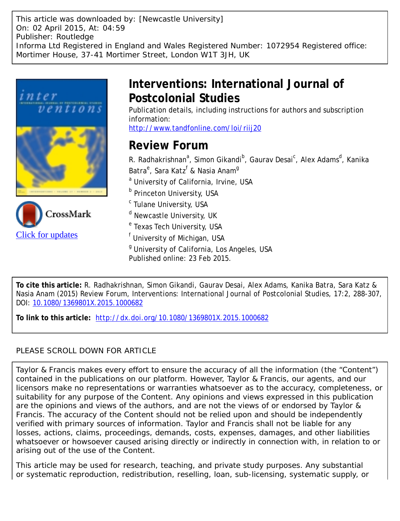This article was downloaded by: [Newcastle University] On: 02 April 2015, At: 04:59 Publisher: Routledge Informa Ltd Registered in England and Wales Registered Number: 1072954 Registered office: Mortimer House, 37-41 Mortimer Street, London W1T 3JH, UK





# **Interventions: International Journal of Postcolonial Studies**

Publication details, including instructions for authors and subscription information:

<http://www.tandfonline.com/loi/riij20>

# **Review Forum**

R. Radhakrishnan<sup>a</sup>, Simon Gikandi<sup>b</sup>, Gaurav Desai<sup>c</sup>, Alex Adams<sup>d</sup>, Kanika Batra<sup>e</sup>, Sara Katz<sup>f</sup> & Nasia Anam<sup>g</sup>

<sup>a</sup> University of California, Irvine, USA

- **b** Princeton University, USA
- <sup>c</sup> Tulane University, USA
- <sup>d</sup> Newcastle University, UK
- <sup>e</sup> Texas Tech University, USA
- <sup>f</sup> University of Michigan, USA

<sup>g</sup> University of California, Los Angeles, USA Published online: 23 Feb 2015.

**To cite this article:** R. Radhakrishnan, Simon Gikandi, Gaurav Desai, Alex Adams, Kanika Batra, Sara Katz & Nasia Anam (2015) Review Forum, Interventions: International Journal of Postcolonial Studies, 17:2, 288-307, DOI: [10.1080/1369801X.2015.1000682](http://www.tandfonline.com/action/showCitFormats?doi=10.1080/1369801X.2015.1000682)

**To link to this article:** <http://dx.doi.org/10.1080/1369801X.2015.1000682>

# PLEASE SCROLL DOWN FOR ARTICLE

Taylor & Francis makes every effort to ensure the accuracy of all the information (the "Content") contained in the publications on our platform. However, Taylor & Francis, our agents, and our licensors make no representations or warranties whatsoever as to the accuracy, completeness, or suitability for any purpose of the Content. Any opinions and views expressed in this publication are the opinions and views of the authors, and are not the views of or endorsed by Taylor & Francis. The accuracy of the Content should not be relied upon and should be independently verified with primary sources of information. Taylor and Francis shall not be liable for any losses, actions, claims, proceedings, demands, costs, expenses, damages, and other liabilities whatsoever or howsoever caused arising directly or indirectly in connection with, in relation to or arising out of the use of the Content.

This article may be used for research, teaching, and private study purposes. Any substantial or systematic reproduction, redistribution, reselling, loan, sub-licensing, systematic supply, or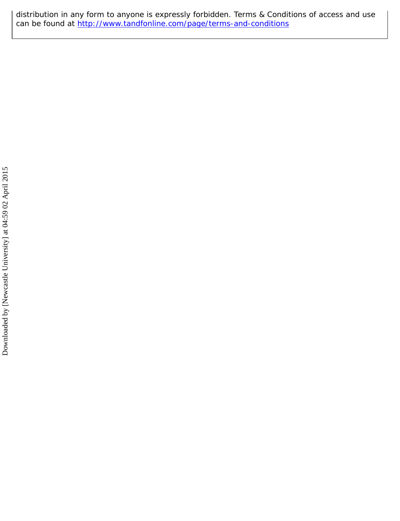distribution in any form to anyone is expressly forbidden. Terms & Conditions of access and use can be found at <http://www.tandfonline.com/page/terms-and-conditions>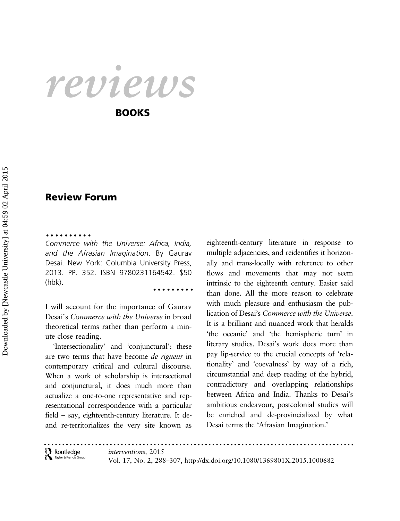# reviews

**BOOKS** 

# Review Forum

Commerce with the Universe: Africa, India,<br>and the Afrasian Imagination. By Gauray and the Afrasian Imagination. By Gaurav Desai. New York: Columbia University Press, 2013. PP. 352. ISBN 9780231164542. \$50 (hbk).

I will account for the importance of Gaurav Desai's Commerce with the Universe in broad theoretical terms rather than perform a minute close reading.

'Intersectionality' and 'conjunctural': these are two terms that have become de rigueur in contemporary critical and cultural discourse. When a work of scholarship is intersectional and conjunctural, it does much more than actualize a one-to-one representative and representational correspondence with a particular field – say, eighteenth-century literature. It deand re-territorializes the very site known as eighteenth-century literature in response to multiple adjacencies, and reidentifies it horizonally and trans-locally with reference to other flows and movements that may not seem intrinsic to the eighteenth century. Easier said than done. All the more reason to celebrate with much pleasure and enthusiasm the publication of Desai's Commerce with the Universe. It is a brilliant and nuanced work that heralds 'the oceanic' and 'the hemispheric turn' in literary studies. Desai's work does more than pay lip-service to the crucial concepts of 'relationality' and 'coevalness' by way of a rich, circumstantial and deep reading of the hybrid, contradictory and overlapping relationships between Africa and India. Thanks to Desai's ambitious endeavour, postcolonial studies will be enriched and de-provincialized by what Desai terms the 'Afrasian Imagination.'

| $\sum_{\text{Taylor 6. Francis Group}}$ | <i>interventions</i> , 2015                                              |
|-----------------------------------------|--------------------------------------------------------------------------|
|                                         | Vol. 17, No. 2, 288–307, http://dx.doi.org/10.1080/1369801X.2015.1000682 |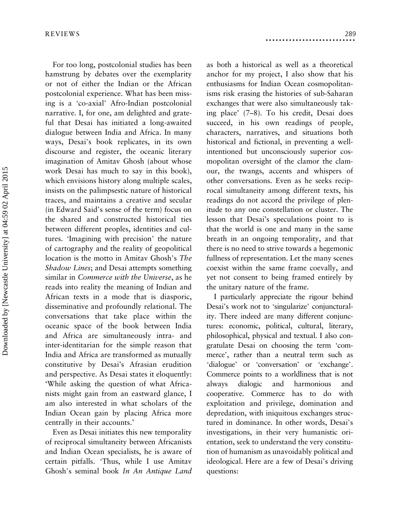For too long, postcolonial studies has been hamstrung by debates over the exemplarity or not of either the Indian or the African postcolonial experience. What has been missing is a 'co-axial' Afro-Indian postcolonial narrative. I, for one, am delighted and grateful that Desai has initiated a long-awaited dialogue between India and Africa. In many ways, Desai's book replicates, in its own discourse and register, the oceanic literary imagination of Amitav Ghosh (about whose work Desai has much to say in this book), which envisions history along multiple scales, insists on the palimpsestic nature of historical traces, and maintains a creative and secular (in Edward Said's sense of the term) focus on the shared and constructed historical ties between different peoples, identities and cultures. 'Imagining with precision' the nature of cartography and the reality of geopolitical location is the motto in Amitav Ghosh's The Shadow Lines; and Desai attempts something similar in Commerce with the Universe, as he reads into reality the meaning of Indian and African texts in a mode that is diasporic, disseminative and profoundly relational. The conversations that take place within the oceanic space of the book between India and Africa are simultaneously intra- and inter-identitarian for the simple reason that India and Africa are transformed as mutually constitutive by Desai's Afrasian erudition and perspective. As Desai states it eloquently: 'While asking the question of what Africanists might gain from an eastward glance, I am also interested in what scholars of the Indian Ocean gain by placing Africa more centrally in their accounts.'

Even as Desai initiates this new temporality of reciprocal simultaneity between Africanists and Indian Ocean specialists, he is aware of certain pitfalls. 'Thus, while I use Amitav Ghosh's seminal book In An Antique Land

REVIEWS 289

as both a historical as well as a theoretical anchor for my project, I also show that his enthusiasms for Indian Ocean cosmopolitanisms risk erasing the histories of sub-Saharan exchanges that were also simultaneously taking place' (7–8). To his credit, Desai does succeed, in his own readings of people, characters, narratives, and situations both historical and fictional, in preventing a wellintentioned but unconsciously superior cosmopolitan oversight of the clamor the clamour, the twangs, accents and whispers of other conversations. Even as he seeks reciprocal simultaneity among different texts, his readings do not accord the privilege of plenitude to any one constellation or cluster. The lesson that Desai's speculations point to is that the world is one and many in the same breath in an ongoing temporality, and that there is no need to strive towards a hegemonic fullness of representation. Let the many scenes coexist within the same frame coevally, and yet not consent to being framed entirely by the unitary nature of the frame.

I particularly appreciate the rigour behind Desai's work not to 'singularize' conjuncturality. There indeed are many different conjunctures: economic, political, cultural, literary, philosophical, physical and textual. I also congratulate Desai on choosing the term 'commerce', rather than a neutral term such as 'dialogue' or 'conversation' or 'exchange'. Commerce points to a worldliness that is not always dialogic and harmonious and cooperative. Commerce has to do with exploitation and privilege, domination and depredation, with iniquitous exchanges structured in dominance. In other words, Desai's investigations, in their very humanistic orientation, seek to understand the very constitution of humanism as unavoidably political and ideological. Here are a few of Desai's driving questions: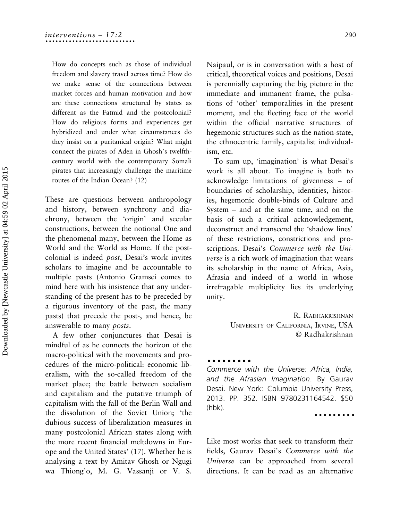How do concepts such as those of individual freedom and slavery travel across time? How do we make sense of the connections between market forces and human motivation and how are these connections structured by states as different as the Fatmid and the postcolonial? How do religious forms and experiences get hybridized and under what circumstances do they insist on a puritanical origin? What might connect the pirates of Aden in Ghosh's twelfthcentury world with the contemporary Somali pirates that increasingly challenge the maritime routes of the Indian Ocean? (12)

These are questions between anthropology and history, between synchrony and diachrony, between the 'origin' and secular constructions, between the notional One and the phenomenal many, between the Home as World and the World as Home. If the postcolonial is indeed post, Desai's work invites scholars to imagine and be accountable to multiple pasts (Antonio Gramsci comes to mind here with his insistence that any understanding of the present has to be preceded by a rigorous inventory of the past, the many pasts) that precede the post-, and hence, be answerable to many posts.

A few other conjunctures that Desai is mindful of as he connects the horizon of the macro-political with the movements and procedures of the micro-political: economic liberalism, with the so-called freedom of the market place; the battle between socialism and capitalism and the putative triumph of capitalism with the fall of the Berlin Wall and the dissolution of the Soviet Union; 'the dubious success of liberalization measures in many postcolonial African states along with the more recent financial meltdowns in Europe and the United States' (17). Whether he is analysing a text by Amitav Ghosh or Ngugi wa Thiong'o, M. G. Vassanji or V. S. Naipaul, or is in conversation with a host of critical, theoretical voices and positions, Desai is perennially capturing the big picture in the immediate and immanent frame, the pulsations of 'other' temporalities in the present moment, and the fleeting face of the world within the official narrative structures of hegemonic structures such as the nation-state, the ethnocentric family, capitalist individualism, etc.

To sum up, 'imagination' is what Desai's work is all about. To imagine is both to acknowledge limitations of givenness – of boundaries of scholarship, identities, histories, hegemonic double-binds of Culture and System – and at the same time, and on the basis of such a critical acknowledgement, deconstruct and transcend the 'shadow lines' of these restrictions, constrictions and proscriptions. Desai's Commerce with the Universe is a rich work of imagination that wears its scholarship in the name of Africa, Asia, Afrasia and indeed of a world in whose irrefragable multiplicity lies its underlying unity.

> R. RADHAKRISHNAN UNIVERSITY OF CALIFORNIA, IRVINE, USA © Radhakrishnan

#### .........

Commerce with the Universe: Africa, India, and the Afrasian Imagination. By Gaurav Desai. New York: Columbia University Press, 2013. PP. 352. ISBN 9780231164542. \$50 (hbk).

.........

Like most works that seek to transform their fields, Gaurav Desai's Commerce with the Universe can be approached from several directions. It can be read as an alternative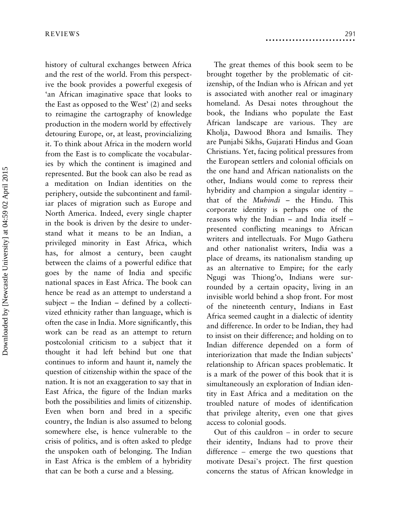history of cultural exchanges between Africa and the rest of the world. From this perspective the book provides a powerful exegesis of 'an African imaginative space that looks to the East as opposed to the West' (2) and seeks to reimagine the cartography of knowledge production in the modern world by effectively detouring Europe, or, at least, provincializing it. To think about Africa in the modern world from the East is to complicate the vocabularies by which the continent is imagined and represented. But the book can also be read as a meditation on Indian identities on the periphery, outside the subcontinent and familiar places of migration such as Europe and North America. Indeed, every single chapter in the book is driven by the desire to understand what it means to be an Indian, a privileged minority in East Africa, which has, for almost a century, been caught between the claims of a powerful edifice that goes by the name of India and specific national spaces in East Africa. The book can hence be read as an attempt to understand a subject – the Indian – defined by a collectivized ethnicity rather than language, which is often the case in India. More significantly, this work can be read as an attempt to return postcolonial criticism to a subject that it thought it had left behind but one that continues to inform and haunt it, namely the question of citizenship within the space of the nation. It is not an exaggeration to say that in East Africa, the figure of the Indian marks both the possibilities and limits of citizenship. Even when born and bred in a specific country, the Indian is also assumed to belong somewhere else, is hence vulnerable to the crisis of politics, and is often asked to pledge the unspoken oath of belonging. The Indian in East Africa is the emblem of a hybridity that can be both a curse and a blessing.

The great themes of this book seem to be brought together by the problematic of citizenship, of the Indian who is African and yet is associated with another real or imaginary homeland. As Desai notes throughout the book, the Indians who populate the East African landscape are various. They are Kholja, Dawood Bhora and Ismailis. They are Punjabi Sikhs, Gujarati Hindus and Goan Christians. Yet, facing political pressures from the European settlers and colonial officials on the one hand and African nationalists on the other, Indians would come to repress their hybridity and champion a singular identity – that of the Muhindi – the Hindu. This corporate identity is perhaps one of the reasons why the Indian – and India itself – presented conflicting meanings to African writers and intellectuals. For Mugo Gatheru and other nationalist writers, India was a place of dreams, its nationalism standing up as an alternative to Empire; for the early Ngugi was Thiong'o, Indians were surrounded by a certain opacity, living in an invisible world behind a shop front. For most of the nineteenth century, Indians in East Africa seemed caught in a dialectic of identity and difference. In order to be Indian, they had to insist on their difference; and holding on to Indian difference depended on a form of interiorization that made the Indian subjects' relationship to African spaces problematic. It is a mark of the power of this book that it is simultaneously an exploration of Indian identity in East Africa and a meditation on the troubled nature of modes of identification that privilege alterity, even one that gives access to colonial goods.

Out of this cauldron – in order to secure their identity, Indians had to prove their difference – emerge the two questions that motivate Desai's project. The first question concerns the status of African knowledge in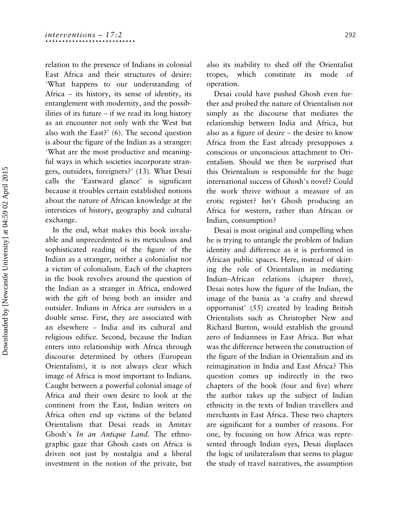relation to the presence of Indians in colonial East Africa and their structures of desire: 'What happens to our understanding of Africa – its history, its sense of identity, its entanglement with modernity, and the possibilities of its future – if we read its long history as an encounter not only with the West but also with the East?' (6). The second question is about the figure of the Indian as a stranger: 'What are the most productive and meaningful ways in which societies incorporate strangers, outsiders, foreigners?' (13). What Desai calls the 'Eastward glance' is significant because it troubles certain established notions about the nature of African knowledge at the interstices of history, geography and cultural exchange.

In the end, what makes this book invaluable and unprecedented is its meticulous and sophisticated reading of the figure of the Indian as a stranger, neither a colonialist nor a victim of colonialism. Each of the chapters in the book revolves around the question of the Indian as a stranger in Africa, endowed with the gift of being both an insider and outsider. Indians in Africa are outsiders in a double sense. First, they are associated with an elsewhere – India and its cultural and religious edifice. Second, because the Indian enters into relationship with Africa through discourse determined by others (European Orientalism), it is not always clear which image of Africa is most important to Indians. Caught between a powerful colonial image of Africa and their own desire to look at the continent from the East, Indian writers on Africa often end up victims of the belated Orientalism that Desai reads in Amitav Ghosh's In an Antique Land. The ethnographic gaze that Ghosh casts on Africa is driven not just by nostalgia and a liberal investment in the notion of the private, but also its inability to shed off the Orientalist tropes, which constitute its mode of operation.

Desai could have pushed Ghosh even further and probed the nature of Orientalism not simply as the discourse that mediates the relationship between India and Africa, but also as a figure of desire – the desire to know Africa from the East already presupposes a conscious or unconscious attachment to Orientalism. Should we then be surprised that this Orientalism is responsible for the huge international success of Ghosh's novel? Could the work thrive without a measure of an erotic register? Isn't Ghosh producing an Africa for western, rather than African or Indian, consumption?

Desai is most original and compelling when he is trying to untangle the problem of Indian identity and difference as it is performed in African public spaces. Here, instead of skirting the role of Orientalism in mediating Indian–African relations (chapter three), Desai notes how the figure of the Indian, the image of the bania as 'a crafty and shrewd opportunist' (55) created by leading British Orientalists such as Christopher New and Richard Burton, would establish the ground zero of Indianness in East Africa. But what was the difference between the construction of the figure of the Indian in Orientalism and its reimagination in India and East Africa? This question comes up indirectly in the two chapters of the book (four and five) where the author takes up the subject of Indian ethnicity in the texts of Indian travellers and merchants in East Africa. These two chapters are significant for a number of reasons. For one, by focusing on how Africa was represented through Indian eyes, Desai displaces the logic of unilateralism that seems to plague the study of travel narratives, the assumption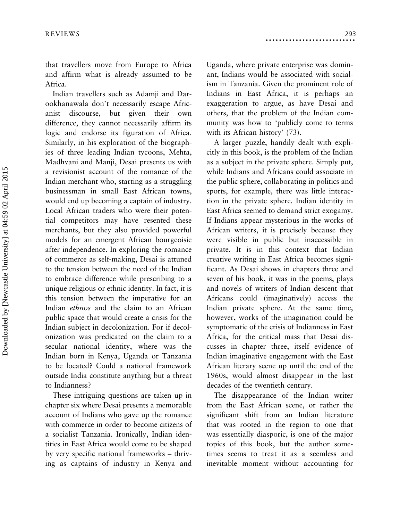that travellers move from Europe to Africa and affirm what is already assumed to be Africa.

Indian travellers such as Adamji and Darookhanawala don't necessarily escape Africanist discourse, but given their own difference, they cannot necessarily affirm its logic and endorse its figuration of Africa. Similarly, in his exploration of the biographies of three leading Indian tycoons, Mehta, Madhvani and Manji, Desai presents us with a revisionist account of the romance of the Indian merchant who, starting as a struggling businessman in small East African towns, would end up becoming a captain of industry. Local African traders who were their potential competitors may have resented these merchants, but they also provided powerful models for an emergent African bourgeoisie after independence. In exploring the romance of commerce as self-making, Desai is attuned to the tension between the need of the Indian to embrace difference while prescribing to a unique religious or ethnic identity. In fact, it is this tension between the imperative for an Indian *ethnos* and the claim to an African public space that would create a crisis for the Indian subject in decolonization. For if decolonization was predicated on the claim to a secular national identity, where was the Indian born in Kenya, Uganda or Tanzania to be located? Could a national framework outside India constitute anything but a threat to Indianness?

These intriguing questions are taken up in chapter six where Desai presents a memorable account of Indians who gave up the romance with commerce in order to become citizens of a socialist Tanzania. Ironically, Indian identities in East Africa would come to be shaped by very specific national frameworks – thriving as captains of industry in Kenya and Uganda, where private enterprise was dominant, Indians would be associated with socialism in Tanzania. Given the prominent role of Indians in East Africa, it is perhaps an exaggeration to argue, as have Desai and others, that the problem of the Indian community was how to 'publicly come to terms with its African history' (73).

A larger puzzle, handily dealt with explicitly in this book, is the problem of the Indian as a subject in the private sphere. Simply put, while Indians and Africans could associate in the public sphere, collaborating in politics and sports, for example, there was little interaction in the private sphere. Indian identity in East Africa seemed to demand strict exogamy. If Indians appear mysterious in the works of African writers, it is precisely because they were visible in public but inaccessible in private. It is in this context that Indian creative writing in East Africa becomes significant. As Desai shows in chapters three and seven of his book, it was in the poems, plays and novels of writers of Indian descent that Africans could (imaginatively) access the Indian private sphere. At the same time, however, works of the imagination could be symptomatic of the crisis of Indianness in East Africa, for the critical mass that Desai discusses in chapter three, itself evidence of Indian imaginative engagement with the East African literary scene up until the end of the 1960s, would almost disappear in the last decades of the twentieth century.

The disappearance of the Indian writer from the East African scene, or rather the significant shift from an Indian literature that was rooted in the region to one that was essentially diasporic, is one of the major topics of this book, but the author sometimes seems to treat it as a seemless and inevitable moment without accounting for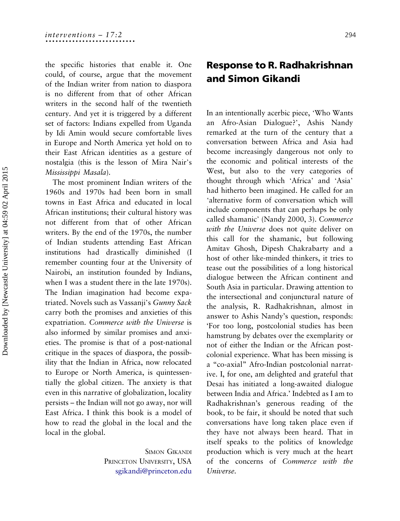the specific histories that enable it. One could, of course, argue that the movement of the Indian writer from nation to diaspora is no different from that of other African writers in the second half of the twentieth century. And yet it is triggered by a different set of factors: Indians expelled from Uganda by Idi Amin would secure comfortable lives in Europe and North America yet hold on to their East African identities as a gesture of nostalgia (this is the lesson of Mira Nair's Mississippi Masala).

The most prominent Indian writers of the 1960s and 1970s had been born in small towns in East Africa and educated in local African institutions; their cultural history was not different from that of other African writers. By the end of the 1970s, the number of Indian students attending East African institutions had drastically diminished (I remember counting four at the University of Nairobi, an institution founded by Indians, when I was a student there in the late 1970s). The Indian imagination had become expatriated. Novels such as Vassanji's Gunny Sack carry both the promises and anxieties of this expatriation. Commerce with the Universe is also informed by similar promises and anxieties. The promise is that of a post-national critique in the spaces of diaspora, the possibility that the Indian in Africa, now relocated to Europe or North America, is quintessentially the global citizen. The anxiety is that even in this narrative of globalization, locality persists – the Indian will not go away, nor will East Africa. I think this book is a model of how to read the global in the local and the local in the global.

> SIMON GIKANDI PRINCETON UNIVERSITY, USA [sgikandi@princeton.edu](mailto:sgikandi@princeton.edu)

# Response to R. Radhakrishnan and Simon Gikandi

In an intentionally acerbic piece, 'Who Wants an Afro-Asian Dialogue?', Ashis Nandy remarked at the turn of the century that a conversation between Africa and Asia had become increasingly dangerous not only to the economic and political interests of the West, but also to the very categories of thought through which 'Africa' and 'Asia' had hitherto been imagined. He called for an 'alternative form of conversation which will include components that can perhaps be only called shamanic' (Nandy 2000, 3). Commerce with the Universe does not quite deliver on this call for the shamanic, but following Amitav Ghosh, Dipesh Chakrabarty and a host of other like-minded thinkers, it tries to tease out the possibilities of a long historical dialogue between the African continent and South Asia in particular. Drawing attention to the intersectional and conjunctural nature of the analysis, R. Radhakrishnan, almost in answer to Ashis Nandy's question, responds: 'For too long, postcolonial studies has been hamstrung by debates over the exemplarity or not of either the Indian or the African postcolonial experience. What has been missing is a "co-axial" Afro-Indian postcolonial narrative. I, for one, am delighted and grateful that Desai has initiated a long-awaited dialogue between India and Africa.' Indebted as I am to Radhakrishnan's generous reading of the book, to be fair, it should be noted that such conversations have long taken place even if they have not always been heard. That in itself speaks to the politics of knowledge production which is very much at the heart of the concerns of Commerce with the Universe.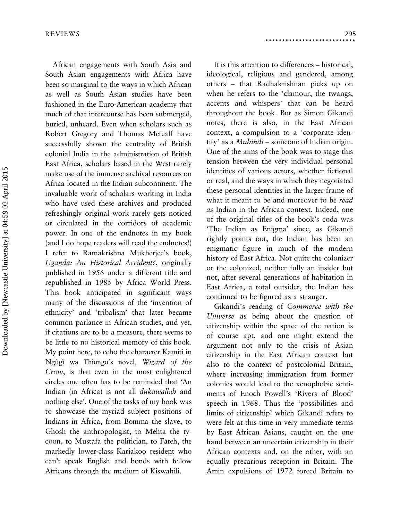African engagements with South Asia and South Asian engagements with Africa have been so marginal to the ways in which African as well as South Asian studies have been fashioned in the Euro-American academy that much of that intercourse has been submerged, buried, unheard. Even when scholars such as Robert Gregory and Thomas Metcalf have successfully shown the centrality of British colonial India in the administration of British East Africa, scholars based in the West rarely make use of the immense archival resources on Africa located in the Indian subcontinent. The invaluable work of scholars working in India who have used these archives and produced refreshingly original work rarely gets noticed or circulated in the corridors of academic power. In one of the endnotes in my book (and I do hope readers will read the endnotes!) I refer to Ramakrishna Mukherjee's book, Uganda: An Historical Accident?, originally published in 1956 under a different title and republished in 1985 by Africa World Press. This book anticipated in significant ways many of the discussions of the 'invention of ethnicity' and 'tribalism' that later became common parlance in African studies, and yet, if citations are to be a measure, there seems to be little to no historical memory of this book. My point here, to echo the character Kamiti in Ngũg<sup>ĩ</sup> wa Thiongo's novel, Wizard of the Crow, is that even in the most enlightened circles one often has to be reminded that 'An Indian (in Africa) is not all dukawallah and nothing else'. One of the tasks of my book was to showcase the myriad subject positions of Indians in Africa, from Bomma the slave, to Ghosh the anthropologist, to Mehta the tycoon, to Mustafa the politician, to Fateh, the markedly lower-class Kariakoo resident who can't speak English and bonds with fellow Africans through the medium of Kiswahili.

It is this attention to differences – historical, ideological, religious and gendered, among others – that Radhakrishnan picks up on when he refers to the 'clamour, the twangs, accents and whispers' that can be heard throughout the book. But as Simon Gikandi notes, there is also, in the East African context, a compulsion to a 'corporate identity' as a Muhindi – someone of Indian origin. One of the aims of the book was to stage this tension between the very individual personal identities of various actors, whether fictional or real, and the ways in which they negotiated these personal identities in the larger frame of what it meant to be and moreover to be read as Indian in the African context. Indeed, one of the original titles of the book's coda was 'The Indian as Enigma' since, as Gikandi rightly points out, the Indian has been an enigmatic figure in much of the modern history of East Africa. Not quite the colonizer or the colonized, neither fully an insider but not, after several generations of habitation in East Africa, a total outsider, the Indian has continued to be figured as a stranger.

Gikandi's reading of Commerce with the Universe as being about the question of citizenship within the space of the nation is of course apt, and one might extend the argument not only to the crisis of Asian citizenship in the East African context but also to the context of postcolonial Britain, where increasing immigration from former colonies would lead to the xenophobic sentiments of Enoch Powell's 'Rivers of Blood' speech in 1968. Thus the 'possibilities and limits of citizenship' which Gikandi refers to were felt at this time in very immediate terms by East African Asians, caught on the one hand between an uncertain citizenship in their African contexts and, on the other, with an equally precarious reception in Britain. The Amin expulsions of 1972 forced Britain to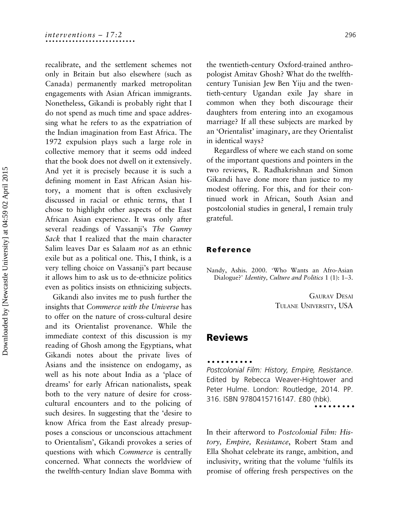recalibrate, and the settlement schemes not only in Britain but also elsewhere (such as Canada) permanently marked metropolitan engagements with Asian African immigrants. Nonetheless, Gikandi is probably right that I do not spend as much time and space addressing what he refers to as the expatriation of the Indian imagination from East Africa. The 1972 expulsion plays such a large role in collective memory that it seems odd indeed that the book does not dwell on it extensively. And yet it is precisely because it is such a defining moment in East African Asian history, a moment that is often exclusively discussed in racial or ethnic terms, that I chose to highlight other aspects of the East African Asian experience. It was only after several readings of Vassanji's The Gunny Sack that I realized that the main character Salim leaves Dar es Salaam not as an ethnic exile but as a political one. This, I think, is a very telling choice on Vassanji's part because it allows him to ask us to de-ethnicize politics even as politics insists on ethnicizing subjects.

Gikandi also invites me to push further the insights that Commerce with the Universe has to offer on the nature of cross-cultural desire and its Orientalist provenance. While the immediate context of this discussion is my reading of Ghosh among the Egyptians, what Gikandi notes about the private lives of Asians and the insistence on endogamy, as well as his note about India as a 'place of dreams' for early African nationalists, speak both to the very nature of desire for crosscultural encounters and to the policing of such desires. In suggesting that the 'desire to know Africa from the East already presupposes a conscious or unconscious attachment to Orientalism', Gikandi provokes a series of questions with which Commerce is centrally concerned. What connects the worldview of the twelfth-century Indian slave Bomma with the twentieth-century Oxford-trained anthropologist Amitav Ghosh? What do the twelfthcentury Tunisian Jew Ben Yiju and the twentieth-century Ugandan exile Jay share in common when they both discourage their daughters from entering into an exogamous marriage? If all these subjects are marked by an 'Orientalist' imaginary, are they Orientalist in identical ways?

Regardless of where we each stand on some of the important questions and pointers in the two reviews, R. Radhakrishnan and Simon Gikandi have done more than justice to my modest offering. For this, and for their continued work in African, South Asian and postcolonial studies in general, I remain truly grateful.

## Reference

Nandy, Ashis. 2000. 'Who Wants an Afro-Asian Dialogue?' Identity, Culture and Politics 1 (1): 1–3.

> GAURAV DESAI TULANE UNIVERSITY, USA

> > .........

## Reviews

.<br>Postcolonial Film: History, Empire, Resistance.<br>Edited by Rebecca Weaver-Hightower and Edited by Rebecca Weaver-Hightower and Peter Hulme. London: Routledge, 2014. PP. 316. ISBN 9780415716147. £80 (hbk).

In their afterword to Postcolonial Film: History, Empire, Resistance, Robert Stam and Ella Shohat celebrate its range, ambition, and inclusivity, writing that the volume 'fulfils its promise of offering fresh perspectives on the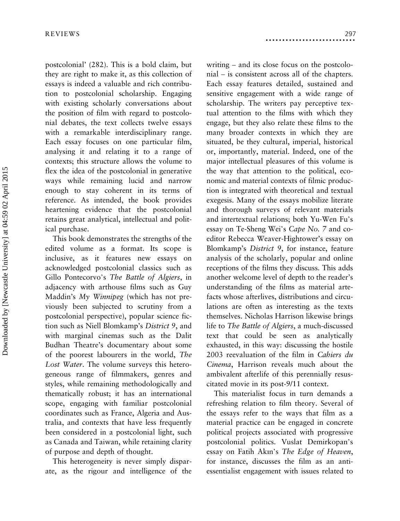postcolonial' (282). This is a bold claim, but they are right to make it, as this collection of essays is indeed a valuable and rich contribution to postcolonial scholarship. Engaging with existing scholarly conversations about the position of film with regard to postcolonial debates, the text collects twelve essays with a remarkable interdisciplinary range. Each essay focuses on one particular film, analysing it and relating it to a range of contexts; this structure allows the volume to flex the idea of the postcolonial in generative ways while remaining lucid and narrow enough to stay coherent in its terms of reference. As intended, the book provides heartening evidence that the postcolonial retains great analytical, intellectual and political purchase.

This book demonstrates the strengths of the edited volume as a format. Its scope is inclusive, as it features new essays on acknowledged postcolonial classics such as Gillo Pontecorvo's The Battle of Algiers, in adjacency with arthouse films such as Guy Maddin's My Winnipeg (which has not previously been subjected to scrutiny from a postcolonial perspective), popular science fiction such as Niell Blomkamp's District 9, and with marginal cinemas such as the Dalit Budhan Theatre's documentary about some of the poorest labourers in the world, The Lost Water. The volume surveys this heterogeneous range of filmmakers, genres and styles, while remaining methodologically and thematically robust; it has an international scope, engaging with familiar postcolonial coordinates such as France, Algeria and Australia, and contexts that have less frequently been considered in a postcolonial light, such as Canada and Taiwan, while retaining clarity of purpose and depth of thought.

This heterogeneity is never simply disparate, as the rigour and intelligence of the

REVIEWS 297

writing – and its close focus on the postcolonial – is consistent across all of the chapters. Each essay features detailed, sustained and sensitive engagement with a wide range of scholarship. The writers pay perceptive textual attention to the films with which they engage, but they also relate these films to the many broader contexts in which they are situated, be they cultural, imperial, historical or, importantly, material. Indeed, one of the major intellectual pleasures of this volume is the way that attention to the political, economic and material contexts of filmic production is integrated with theoretical and textual exegesis. Many of the essays mobilize literate and thorough surveys of relevant materials and intertextual relations; both Yu-Wen Fu's essay on Te-Sheng Wei's Cape No. 7 and coeditor Rebecca Weaver-Hightower's essay on Blomkamp's District 9, for instance, feature analysis of the scholarly, popular and online receptions of the films they discuss. This adds another welcome level of depth to the reader's understanding of the films as material artefacts whose afterlives, distributions and circulations are often as interesting as the texts themselves. Nicholas Harrison likewise brings life to The Battle of Algiers, a much-discussed text that could be seen as analytically exhausted, in this way: discussing the hostile 2003 reevaluation of the film in Cahiers du Cinema, Harrison reveals much about the ambivalent afterlife of this perennially resuscitated movie in its post-9/11 context.

This materialist focus in turn demands a refreshing relation to film theory. Several of the essays refer to the ways that film as a material practice can be engaged in concrete political projects associated with progressive postcolonial politics. Vuslat Demirkopan's essay on Fatih Akın's The Edge of Heaven, for instance, discusses the film as an antiessentialist engagement with issues related to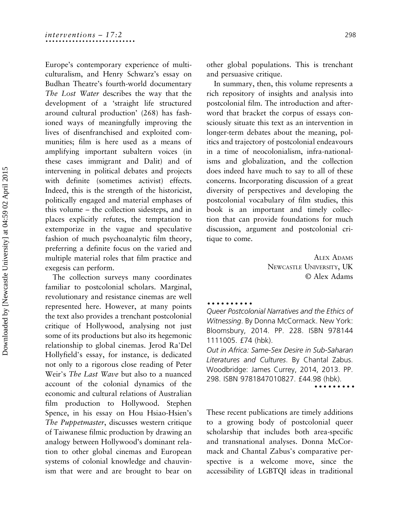Europe's contemporary experience of multiculturalism, and Henry Schwarz's essay on Budhan Theatre's fourth-world documentary The Lost Water describes the way that the development of a 'straight life structured around cultural production' (268) has fashioned ways of meaningfully improving the lives of disenfranchised and exploited communities; film is here used as a means of amplifying important subaltern voices (in these cases immigrant and Dalit) and of intervening in political debates and projects with definite (sometimes activist) effects. Indeed, this is the strength of the historicist, politically engaged and material emphases of this volume – the collection sidesteps, and in places explicitly refutes, the temptation to extemporize in the vague and speculative fashion of much psychoanalytic film theory, preferring a definite focus on the varied and multiple material roles that film practice and exegesis can perform.

The collection surveys many coordinates familiar to postcolonial scholars. Marginal, revolutionary and resistance cinemas are well represented here. However, at many points the text also provides a trenchant postcolonial critique of Hollywood, analysing not just some of its productions but also its hegemonic relationship to global cinemas. Jerod Ra'Del Hollyfield's essay, for instance, is dedicated not only to a rigorous close reading of Peter Weir's The Last Wave but also to a nuanced account of the colonial dynamics of the economic and cultural relations of Australian film production to Hollywood. Stephen Spence, in his essay on Hou Hsiao-Hsien's The Puppetmaster, discusses western critique of Taiwanese filmic production by drawing an analogy between Hollywood's dominant relation to other global cinemas and European systems of colonial knowledge and chauvinism that were and are brought to bear on other global populations. This is trenchant and persuasive critique.

In summary, then, this volume represents a rich repository of insights and analysis into postcolonial film. The introduction and afterword that bracket the corpus of essays consciously situate this text as an intervention in longer-term debates about the meaning, politics and trajectory of postcolonial endeavours in a time of neocolonialism, infra-nationalisms and globalization, and the collection does indeed have much to say to all of these concerns. Incorporating discussion of a great diversity of perspectives and developing the postcolonial vocabulary of film studies, this book is an important and timely collection that can provide foundations for much discussion, argument and postcolonial critique to come.

> ALEX ADAMS NEWCASTLE UNIVERSITY, UK © Alex Adams

#### . . . . . . . . . .

Queer Postcolonial Narratives and the Ethics of<br>Witnessing, By Donna McCormack, New York: Witnessing. By Donna McCormack. New York: Bloomsbury, 2014. PP. 228. ISBN 978144 1111005. £74 (hbk).

Out in Africa: Same-Sex Desire in Sub-Saharan Literatures and Cultures. By Chantal Zabus. Woodbridge: James Currey, 2014, 2013. PP. 298. ISBN 9781847010827. £44.98 (hbk).

These recent publications are timely additions to a growing body of postcolonial queer scholarship that includes both area-specific and transnational analyses. Donna McCormack and Chantal Zabus's comparative perspective is a welcome move, since the accessibility of LGBTQI ideas in traditional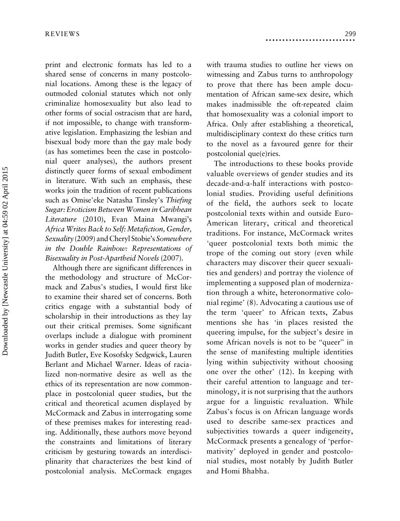print and electronic formats has led to a shared sense of concerns in many postcolonial locations. Among these is the legacy of outmoded colonial statutes which not only criminalize homosexuality but also lead to other forms of social ostracism that are hard, if not impossible, to change with transformative legislation. Emphasizing the lesbian and bisexual body more than the gay male body (as has sometimes been the case in postcolonial queer analyses), the authors present distinctly queer forms of sexual embodiment in literature. With such an emphasis, these works join the tradition of recent publications such as Omise'eke Natasha Tinsley's Thiefing Sugar: Eroticism BetweenWomen in Caribbean Literature (2010), Evan Maina Mwangi's Africa Writes Back to Self: Metafiction, Gender, Sexuality (2009) and Cheryl Stobie's Somewhere in the Double Rainbow: Representations of Bisexuality in Post-Apartheid Novels (2007).

Although there are significant differences in the methodology and structure of McCormack and Zabus's studies, I would first like to examine their shared set of concerns. Both critics engage with a substantial body of scholarship in their introductions as they lay out their critical premises. Some significant overlaps include a dialogue with prominent works in gender studies and queer theory by Judith Butler, Eve Kosofsky Sedgwick, Lauren Berlant and Michael Warner. Ideas of racialized non-normative desire as well as the ethics of its representation are now commonplace in postcolonial queer studies, but the critical and theoretical acumen displayed by McCormack and Zabus in interrogating some of these premises makes for interesting reading. Additionally, these authors move beyond the constraints and limitations of literary criticism by gesturing towards an interdisciplinarity that characterizes the best kind of postcolonial analysis. McCormack engages with trauma studies to outline her views on witnessing and Zabus turns to anthropology to prove that there has been ample documentation of African same-sex desire, which makes inadmissible the oft-repeated claim that homosexuality was a colonial import to Africa. Only after establishing a theoretical, multidisciplinary context do these critics turn to the novel as a favoured genre for their postcolonial que(e)ries.

The introductions to these books provide valuable overviews of gender studies and its decade-and-a-half interactions with postcolonial studies. Providing useful definitions of the field, the authors seek to locate postcolonial texts within and outside Euro-American literary, critical and theoretical traditions. For instance, McCormack writes 'queer postcolonial texts both mimic the trope of the coming out story (even while characters may discover their queer sexualities and genders) and portray the violence of implementing a supposed plan of modernization through a white, heteronormative colonial regime' (8). Advocating a cautious use of the term 'queer' to African texts, Zabus mentions she has 'in places resisted the queering impulse, for the subject's desire in some African novels is not to be "queer" in the sense of manifesting multiple identities lying within subjectivity without choosing one over the other' (12). In keeping with their careful attention to language and terminology, it is not surprising that the authors argue for a linguistic revaluation. While Zabus's focus is on African language words used to describe same-sex practices and subjectivities towards a queer indigeneity, McCormack presents a genealogy of 'performativity' deployed in gender and postcolonial studies, most notably by Judith Butler and Homi Bhabha.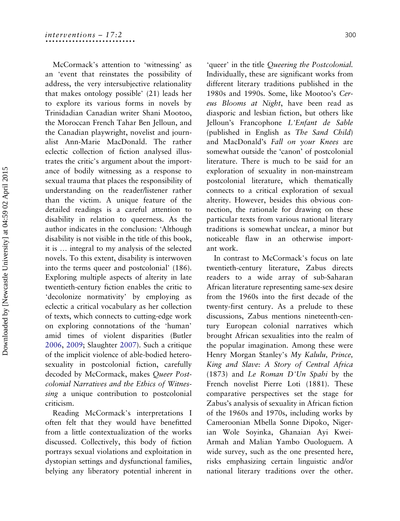McCormack's attention to 'witnessing' as an 'event that reinstates the possibility of address, the very intersubjective relationality that makes ontology possible' (21) leads her to explore its various forms in novels by Trinidadian Canadian writer Shani Mootoo, the Moroccan French Tahar Ben Jelloun, and the Canadian playwright, novelist and journalist Ann-Marie MacDonald. The rather eclectic collection of fiction analysed illustrates the critic's argument about the importance of bodily witnessing as a response to sexual trauma that places the responsibility of understanding on the reader/listener rather than the victim. A unique feature of the detailed readings is a careful attention to disability in relation to queerness. As the author indicates in the conclusion: 'Although disability is not visible in the title of this book, it is … integral to my analysis of the selected novels. To this extent, disability is interwoven into the terms queer and postcolonial' (186). Exploring multiple aspects of alterity in late twentieth-century fiction enables the critic to 'decolonize normativity' by employing as eclectic a critical vocabulary as her collection of texts, which connects to cutting-edge work on exploring connotations of the 'human' amid times of violent disparities (Butler [2006,](#page-16-0) [2009;](#page-16-0) Slaughter [2007\)](#page-16-0). Such a critique of the implicit violence of able-bodied heterosexuality in postcolonial fiction, carefully decoded by McCormack, makes Queer Postcolonial Narratives and the Ethics of Witnessing a unique contribution to postcolonial criticism.

Reading McCormack's interpretations I often felt that they would have benefitted from a little contextualization of the works discussed. Collectively, this body of fiction portrays sexual violations and exploitation in dystopian settings and dysfunctional families, belying any liberatory potential inherent in

'queer' in the title Queering the Postcolonial. Individually, these are significant works from different literary traditions published in the 1980s and 1990s. Some, like Mootoo's Cereus Blooms at Night, have been read as diasporic and lesbian fiction, but others like Jelloun's Francophone L'Enfant de Sable (published in English as The Sand Child) and MacDonald's Fall on your Knees are somewhat outside the 'canon' of postcolonial literature. There is much to be said for an exploration of sexuality in non-mainstream postcolonial literature, which thematically connects to a critical exploration of sexual alterity. However, besides this obvious connection, the rationale for drawing on these particular texts from various national literary traditions is somewhat unclear, a minor but noticeable flaw in an otherwise important work.

In contrast to McCormack's focus on late twentieth-century literature, Zabus directs readers to a wide array of sub-Saharan African literature representing same-sex desire from the 1960s into the first decade of the twenty-first century. As a prelude to these discussions, Zabus mentions nineteenth-century European colonial narratives which brought African sexualities into the realm of the popular imagination. Among these were Henry Morgan Stanley's My Kalulu, Prince, King and Slave: A Story of Central Africa (1873) and Le Roman D'Un Spahi by the French novelist Pierre Loti (1881). These comparative perspectives set the stage for Zabus's analysis of sexuality in African fiction of the 1960s and 1970s, including works by Cameroonian Mbella Sonne Dipoko, Nigerian Wole Soyinka, Ghanaian Ayi Kwei-Armah and Malian Yambo Ouologuem. A wide survey, such as the one presented here, risks emphasizing certain linguistic and/or national literary traditions over the other.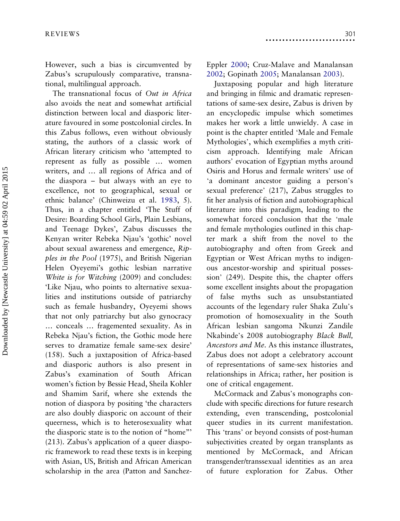However, such a bias is circumvented by Zabus's scrupulously comparative, transnational, multilingual approach.

The transnational focus of Out in Africa also avoids the neat and somewhat artificial distinction between local and diasporic literature favoured in some postcolonial circles. In this Zabus follows, even without obviously stating, the authors of a classic work of African literary criticism who 'attempted to represent as fully as possible … women writers, and … all regions of Africa and of the diaspora – but always with an eye to excellence, not to geographical, sexual or ethnic balance' (Chinweizu et al. [1983](#page-16-0), 5). Thus, in a chapter entitled 'The Stuff of Desire: Boarding School Girls, Plain Lesbians, and Teenage Dykes', Zabus discusses the Kenyan writer Rebeka Njau's 'gothic' novel about sexual awareness and emergence, Ripples in the Pool (1975), and British Nigerian Helen Oyeyemi's gothic lesbian narrative White is for Witching (2009) and concludes: 'Like Njau, who points to alternative sexualities and institutions outside of patriarchy such as female husbandry, Oyeyemi shows that not only patriarchy but also gynocracy … conceals … fragemented sexuality. As in Rebeka Njau's fiction, the Gothic mode here serves to dramatize female same-sex desire' (158). Such a juxtaposition of Africa-based and diasporic authors is also present in Zabus's examination of South African women's fiction by Bessie Head, Sheila Kohler and Shamim Sarif, where she extends the notion of diaspora by positing 'the characters are also doubly diasporic on account of their queerness, which is to heterosexuality what the diasporic state is to the notion of "home"' (213). Zabus's application of a queer diasporic framework to read these texts is in keeping with Asian, US, British and African American scholarship in the area (Patton and SanchezEppler [2000](#page-16-0); Cruz-Malave and Manalansan [2002;](#page-16-0) Gopinath [2005;](#page-16-0) Manalansan [2003](#page-16-0)).

Juxtaposing popular and high literature and bringing in filmic and dramatic representations of same-sex desire, Zabus is driven by an encyclopedic impulse which sometimes makes her work a little unwieldy. A case in point is the chapter entitled 'Male and Female Mythologies', which exemplifies a myth criticism approach. Identifying male African authors' evocation of Egyptian myths around Osiris and Horus and fermale writers' use of 'a dominant ancestor guiding a person's sexual preference' (217), Zabus struggles to fit her analysis of fiction and autobiographical literature into this paradigm, leading to the somewhat forced conclusion that the 'male and female mythologies outlined in this chapter mark a shift from the novel to the autobiography and often from Greek and Egyptian or West African myths to indigenous ancestor-worship and spiritual possession' (249). Despite this, the chapter offers some excellent insights about the propagation of false myths such as unsubstantiated accounts of the legendary ruler Shaka Zulu's promotion of homosexuality in the South African lesbian sangoma Nkunzi Zandile Nkabinde's 2008 autobiography Black Bull, Ancestors and Me. As this instance illustrates, Zabus does not adopt a celebratory account of representations of same-sex histories and relationships in Africa; rather, her position is one of critical engagement.

McCormack and Zabus's monographs conclude with specific directions for future research extending, even transcending, postcolonial queer studies in its current manifestation. This 'trans' or beyond consists of post-human subjectivities created by organ transplants as mentioned by McCormack, and African transgender/transsexual identities as an area of future exploration for Zabus. Other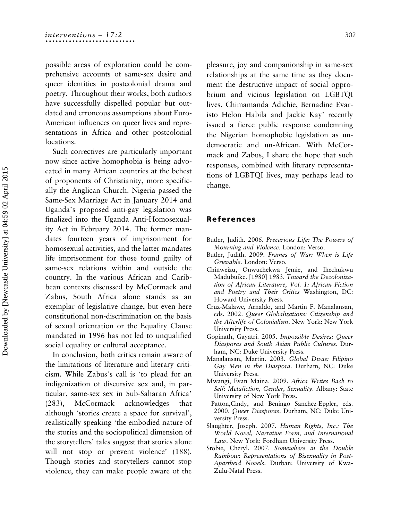<span id="page-16-0"></span>possible areas of exploration could be comprehensive accounts of same-sex desire and queer identities in postcolonial drama and poetry. Throughout their works, both authors have successfully dispelled popular but outdated and erroneous assumptions about Euro-American influences on queer lives and representations in Africa and other postcolonial locations.

Such correctives are particularly important now since active homophobia is being advocated in many African countries at the behest of proponents of Christianity, more specifically the Anglican Church. Nigeria passed the Same-Sex Marriage Act in January 2014 and Uganda's proposed anti-gay legislation was finalized into the Uganda Anti-Homosexuality Act in February 2014. The former mandates fourteen years of imprisonment for homosexual activities, and the latter mandates life imprisonment for those found guilty of same-sex relations within and outside the country. In the various African and Caribbean contexts discussed by McCormack and Zabus, South Africa alone stands as an exemplar of legislative change, but even here constitutional non-discrimination on the basis of sexual orientation or the Equality Clause mandated in 1996 has not led to unqualified social equality or cultural acceptance.

In conclusion, both critics remain aware of the limitations of literature and literary criticism. While Zabus's call is 'to plead for an indigenization of discursive sex and, in particular, same-sex sex in Sub-Saharan Africa' (283), McCormack acknowledges that although 'stories create a space for survival', realistically speaking 'the embodied nature of the stories and the sociopolitical dimension of the storytellers' tales suggest that stories alone will not stop or prevent violence' (188). Though stories and storytellers cannot stop violence, they can make people aware of the pleasure, joy and companionship in same-sex relationships at the same time as they document the destructive impact of social opprobrium and vicious legislation on LGBTQI lives. Chimamanda Adichie, Bernadine Evaristo Helon Habila and Jackie Kay' recently issued a fierce public response condemning the Nigerian homophobic legislation as undemocratic and un-African. With McCormack and Zabus, I share the hope that such responses, combined with literary representations of LGBTQI lives, may perhaps lead to change.

## References

- Butler, Judith. 2006. Precarious Life: The Powers of Mourning and Violence. London: Verso.
- Butler, Judith. 2009. Frames of War: When is Life Grievable. London: Verso.
- Chinweizu, Onwuchekwa Jemie, and Ihechukwu Madubuike. [1980] 1983. Toward the Decolonization of African Literature, Vol. 1: African Fiction and Poetry and Their Critics Washington, DC: Howard University Press.
- Cruz-Malawe, Arnaldo, and Martin F. Manalansan, eds. 2002. Queer Globalizations: Citizenship and the Afterlife of Colonialism. New York: New York University Press.
- Gopinath, Gayatri. 2005. Impossible Desires: Queer Diasporas and South Asian Public Cultures. Durham, NC: Duke University Press.
- Manalansan, Martin. 2003. Global Divas: Filipino Gay Men in the Diaspora. Durham, NC: Duke University Press.
- Mwangi, Evan Maina. 2009. Africa Writes Back to Self: Metafiction, Gender, Sexuality. Albany: State University of New York Press.
- Patton,Cindy, and Beningo Sanchez-Eppler, eds. 2000. Queer Diasporas. Durham, NC: Duke University Press.
- Slaughter, Joseph. 2007. Human Rights, Inc.: The World Novel, Narrative Form, and International Law. New York: Fordham University Press.
- Stobie, Cheryl. 2007. Somewhere in the Double Rainbow: Representations of Bisexuality in Post-Apartheid Novels. Durban: University of Kwa-Zulu-Natal Press.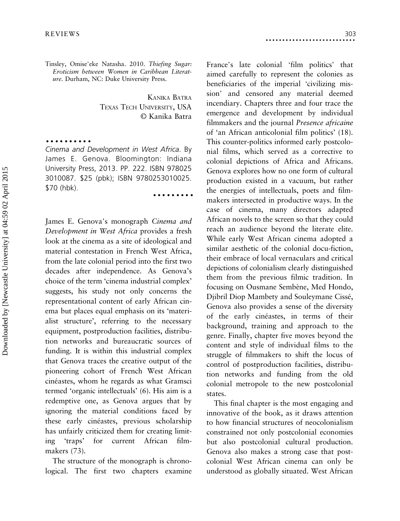Tinsley, Omise'eke Natasha. 2010. Thiefing Sugar: Eroticism between Women in Caribbean Literature. Durham, NC: Duke University Press.

> KANIKA BATRA TEXAS TECH UNIVERSITY, USA © Kanika Batra

Cinema and Development in West Africa. By<br>James F., Genova., Bloomington: Indiana James E. Genova. Bloomington: Indiana University Press, 2013. PP. 222. ISBN 978025 3010087. \$25 (pbk); ISBN 9780253010025. \$70 (hbk).

James E. Genova's monograph Cinema and Development in West Africa provides a fresh look at the cinema as a site of ideological and material contestation in French West Africa, from the late colonial period into the first two decades after independence. As Genova's choice of the term 'cinema industrial complex' suggests, his study not only concerns the representational content of early African cinema but places equal emphasis on its 'materialist structure', referring to the necessary equipment, postproduction facilities, distribution networks and bureaucratic sources of funding. It is within this industrial complex that Genova traces the creative output of the pioneering cohort of French West African cinéastes, whom he regards as what Gramsci termed 'organic intellectuals' (6). His aim is a redemptive one, as Genova argues that by ignoring the material conditions faced by these early cinéastes, previous scholarship has unfairly criticized them for creating limiting 'traps' for current African filmmakers (73).

The structure of the monograph is chronological. The first two chapters examine France's late colonial 'film politics' that aimed carefully to represent the colonies as beneficiaries of the imperial 'civilizing mission' and censored any material deemed incendiary. Chapters three and four trace the emergence and development by individual filmmakers and the journal Presence africaine of 'an African anticolonial film politics' (18). This counter-politics informed early postcolonial films, which served as a corrective to colonial depictions of Africa and Africans. Genova explores how no one form of cultural production existed in a vacuum, but rather the energies of intellectuals, poets and filmmakers intersected in productive ways. In the case of cinema, many directors adapted African novels to the screen so that they could reach an audience beyond the literate elite. While early West African cinema adopted a similar aesthetic of the colonial docu-fiction, their embrace of local vernaculars and critical depictions of colonialism clearly distinguished them from the previous filmic tradition. In focusing on Ousmane Sembène, Med Hondo, Djibril Diop Mambety and Souleymane Cissé, Genova also provides a sense of the diversity of the early cinéastes, in terms of their background, training and approach to the genre. Finally, chapter five moves beyond the content and style of individual films to the struggle of filmmakers to shift the locus of control of postproduction facilities, distribution networks and funding from the old colonial metropole to the new postcolonial states.

This final chapter is the most engaging and innovative of the book, as it draws attention to how financial structures of neocolonialism constrained not only postcolonial economies but also postcolonial cultural production. Genova also makes a strong case that postcolonial West African cinema can only be understood as globally situated. West African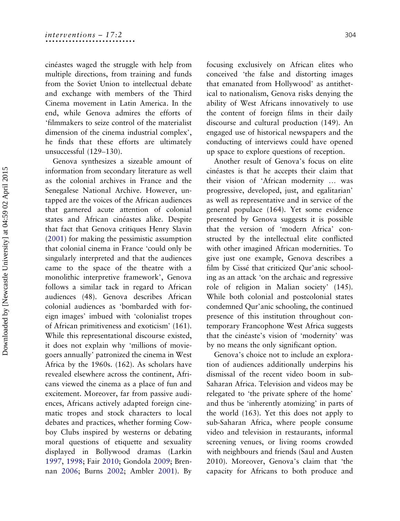cinéastes waged the struggle with help from multiple directions, from training and funds from the Soviet Union to intellectual debate and exchange with members of the Third Cinema movement in Latin America. In the end, while Genova admires the efforts of 'filmmakers to seize control of the materialist dimension of the cinema industrial complex', he finds that these efforts are ultimately unsuccessful (129–130).

Genova synthesizes a sizeable amount of information from secondary literature as well as the colonial archives in France and the Senegalese National Archive. However, untapped are the voices of the African audiences that garnered acute attention of colonial states and African cinéastes alike. Despite that fact that Genova critiques Henry Slavin ([2001\)](#page-19-0) for making the pessimistic assumption that colonial cinema in France 'could only be singularly interpreted and that the audiences came to the space of the theatre with a monolithic interpretive framework', Genova follows a similar tack in regard to African audiences (48). Genova describes African colonial audiences as 'bombarded with foreign images' imbued with 'colonialist tropes of African primitiveness and exoticism' (161). While this representational discourse existed, it does not explain why 'millions of moviegoers annually' patronized the cinema in West Africa by the 1960s. (162). As scholars have revealed elsewhere across the continent, Africans viewed the cinema as a place of fun and excitement. Moreover, far from passive audiences, Africans actively adapted foreign cinematic tropes and stock characters to local debates and practices, whether forming Cowboy Clubs inspired by westerns or debating moral questions of etiquette and sexuality displayed in Bollywood dramas (Larkin [1997,](#page-19-0) [1998;](#page-19-0) Fair [2010](#page-19-0); Gondola [2009;](#page-19-0) Brennan [2006;](#page-19-0) Burns [2002;](#page-19-0) Ambler [2001](#page-19-0)). By focusing exclusively on African elites who conceived 'the false and distorting images that emanated from Hollywood' as antithetical to nationalism, Genova risks denying the ability of West Africans innovatively to use the content of foreign films in their daily discourse and cultural production (149). An engaged use of historical newspapers and the conducting of interviews could have opened up space to explore questions of reception.

Another result of Genova's focus on elite cinéastes is that he accepts their claim that their vision of 'African modernity … was progressive, developed, just, and egalitarian' as well as representative and in service of the general populace (164). Yet some evidence presented by Genova suggests it is possible that the version of 'modern Africa' constructed by the intellectual elite conflicted with other imagined African modernities. To give just one example, Genova describes a film by Cissé that criticized Qur'anic schooling as an attack 'on the archaic and regressive role of religion in Malian society' (145). While both colonial and postcolonial states condemned Qur'anic schooling, the continued presence of this institution throughout contemporary Francophone West Africa suggests that the cinéaste's vision of 'modernity' was by no means the only significant option.

Genova's choice not to include an exploration of audiences additionally underpins his dismissal of the recent video boom in sub-Saharan Africa. Television and videos may be relegated to 'the private sphere of the home' and thus be 'inherently atomizing' in parts of the world (163). Yet this does not apply to sub-Saharan Africa, where people consume video and television in restaurants, informal screening venues, or living rooms crowded with neighbours and friends (Saul and Austen 2010). Moreover, Genova's claim that 'the capacity for Africans to both produce and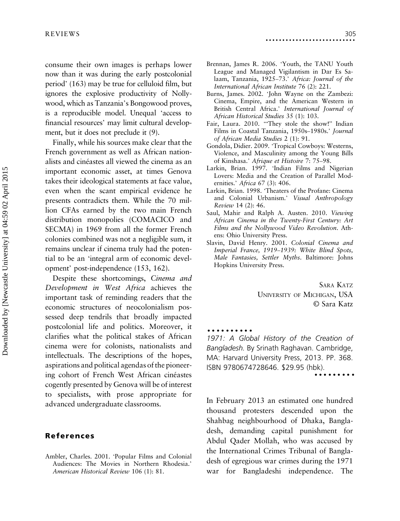<span id="page-19-0"></span>consume their own images is perhaps lower now than it was during the early postcolonial period' (163) may be true for celluloid film, but ignores the explosive productivity of Nollywood, which as Tanzania's Bongowood proves, is a reproducible model. Unequal 'access to financial resources' may limit cultural development, but it does not preclude it (9).

Finally, while his sources make clear that the French government as well as African nationalists and cinéastes all viewed the cinema as an important economic asset, at times Genova takes their ideological statements at face value, even when the scant empirical evidence he presents contradicts them. While the 70 million CFAs earned by the two main French distribution monopolies (COMACICO and SECMA) in 1969 from all the former French colonies combined was not a negligible sum, it remains unclear if cinema truly had the potential to be an 'integral arm of economic development' post-independence (153, 162).

Despite these shortcomings, Cinema and Development in West Africa achieves the important task of reminding readers that the economic structures of neocolonialism possessed deep tendrils that broadly impacted postcolonial life and politics. Moreover, it clarifies what the political stakes of African cinema were for colonists, nationalists and intellectuals. The descriptions of the hopes, aspirations and political agendas of the pioneering cohort of French West African cinéastes cogently presented by Genova will be of interest to specialists, with prose appropriate for advanced undergraduate classrooms.

### References

- Brennan, James R. 2006. 'Youth, the TANU Youth League and Managed Vigilantism in Dar Es Salaam, Tanzania, 1925–73.' Africa: Journal of the International African Institute 76 (2): 221.
- Burns, James. 2002. 'John Wayne on the Zambezi: Cinema, Empire, and the American Western in British Central Africa.' International Journal of African Historical Studies 35 (1): 103.
- Fair, Laura. 2010. '"They stole the show!" Indian Films in Coastal Tanzania, 1950s–1980s.' Journal of African Media Studies 2 (1): 91.
- Gondola, Didier. 2009. 'Tropical Cowboys: Westerns, Violence, and Masculinity among the Young Bills of Kinshasa.' Afrique et Histoire 7: 75–98.
- Larkin, Brian. 1997. 'Indian Films and Nigerian Lovers: Media and the Creation of Parallel Modernities.' Africa 67 (3): 406.
- Larkin, Brian. 1998. 'Theaters of the Profane: Cinema and Colonial Urbanism.' Visual Anthropology Review 14 (2): 46.
- Saul, Mahir and Ralph A. Austen. 2010. Viewing African Cinema in the Twenty-First Century: Art Films and the Nollywood Video Revolution. Athens: Ohio University Press.
- Slavin, David Henry. 2001. Colonial Cinema and Imperial France, 1919–1939: White Blind Spots, Male Fantasies, Settler Myths. Baltimore: Johns Hopkins University Press.

SARA KATZ UNIVERSITY OF MICHIGAN, USA © Sara Katz

................<br>1971: A Global History of the Creation of<br>Bangladesh By Srinath Raghavan Cambridge. Bangladesh. By Srinath Raghavan. Cambridge, MA: Harvard University Press, 2013. PP. 368. ISBN 9780674728646. \$29.95 (hbk).

.........

In February 2013 an estimated one hundred thousand protesters descended upon the Shahbag neighbourhood of Dhaka, Bangladesh, demanding capital punishment for Abdul Qader Mollah, who was accused by the International Crimes Tribunal of Bangladesh of egregious war crimes during the 1971 war for Bangladeshi independence. The

Ambler, Charles. 2001. 'Popular Films and Colonial Audiences: The Movies in Northern Rhodesia.' American Historical Review 106 (1): 81.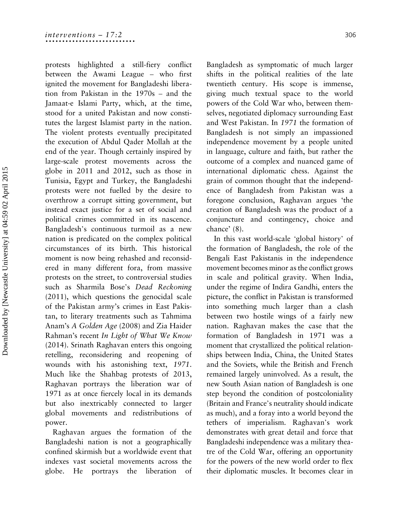protests highlighted a still-fiery conflict between the Awami League – who first ignited the movement for Bangladeshi liberation from Pakistan in the 1970s – and the Jamaat-e Islami Party, which, at the time, stood for a united Pakistan and now constitutes the largest Islamist party in the nation. The violent protests eventually precipitated the execution of Abdul Qader Mollah at the end of the year. Though certainly inspired by large-scale protest movements across the globe in 2011 and 2012, such as those in Tunisia, Egypt and Turkey, the Bangladeshi protests were not fuelled by the desire to overthrow a corrupt sitting government, but instead exact justice for a set of social and political crimes committed in its nascence. Bangladesh's continuous turmoil as a new nation is predicated on the complex political circumstances of its birth. This historical moment is now being rehashed and reconsidered in many different fora, from massive protests on the street, to controversial studies such as Sharmila Bose's Dead Reckoning (2011), which questions the genocidal scale of the Pakistan army's crimes in East Pakistan, to literary treatments such as Tahmima Anam's A Golden Age (2008) and Zia Haider Rahman's recent In Light of What We Know (2014). Srinath Raghavan enters this ongoing retelling, reconsidering and reopening of wounds with his astonishing text, 1971. Much like the Shahbag protests of 2013, Raghavan portrays the liberation war of 1971 as at once fiercely local in its demands but also inextricably connected to larger global movements and redistributions of power.

Raghavan argues the formation of the Bangladeshi nation is not a geographically confined skirmish but a worldwide event that indexes vast societal movements across the globe. He portrays the liberation of Bangladesh as symptomatic of much larger shifts in the political realities of the late twentieth century. His scope is immense, giving much textual space to the world powers of the Cold War who, between themselves, negotiated diplomacy surrounding East and West Pakistan. In 1971 the formation of Bangladesh is not simply an impassioned independence movement by a people united in language, culture and faith, but rather the outcome of a complex and nuanced game of international diplomatic chess. Against the grain of common thought that the independence of Bangladesh from Pakistan was a foregone conclusion, Raghavan argues 'the creation of Bangladesh was the product of a conjuncture and contingency, choice and chance' (8).

In this vast world-scale 'global history' of the formation of Bangladesh, the role of the Bengali East Pakistanis in the independence movement becomes minor as the conflict grows in scale and political gravity. When India, under the regime of Indira Gandhi, enters the picture, the conflict in Pakistan is transformed into something much larger than a clash between two hostile wings of a fairly new nation. Raghavan makes the case that the formation of Bangladesh in 1971 was a moment that crystallized the political relationships between India, China, the United States and the Soviets, while the British and French remained largely uninvolved. As a result, the new South Asian nation of Bangladesh is one step beyond the condition of postcoloniality (Britain and France's neutrality should indicate as much), and a foray into a world beyond the tethers of imperialism. Raghavan's work demonstrates with great detail and force that Bangladeshi independence was a military theatre of the Cold War, offering an opportunity for the powers of the new world order to flex their diplomatic muscles. It becomes clear in